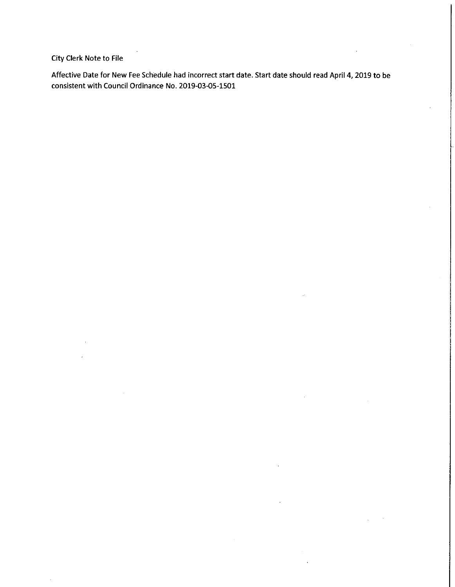City Clerk Note to File

Affective Date for New Fee Schedule had incorrect start date. Start date should read April 4, 2019 to be consistent with Council Ordinance No. 2019-03-05-1501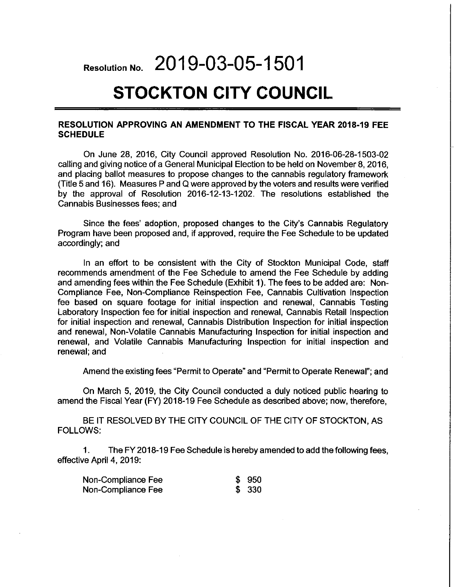# Resolution No. 2019-03-05-1501

# **STOCKTON CITY COUNCIL**

#### RESOLUTION APPROVING AN AMENDMENT TO THE FISCAL YEAR 2018-19 FEE **SCHEDULE**

On June 28, 2016, City Council approved Resolution No. 2016-06-28-1503-02 calling and giving notice of a General Municipal Election to be held on November 8, 2016. and placing ballot measures to propose changes to the cannabis regulatory framework (Title 5 and 16). Measures P and Q were approved by the voters and results were verified by the approval of Resolution 2016-12-13-1202. The resolutions established the Cannabis Businesses fees: and

Since the fees' adoption, proposed changes to the City's Cannabis Regulatory Program have been proposed and, if approved, require the Fee Schedule to be updated accordingly; and

In an effort to be consistent with the City of Stockton Municipal Code, staff recommends amendment of the Fee Schedule to amend the Fee Schedule by adding and amending fees within the Fee Schedule (Exhibit 1). The fees to be added are: Non-Compliance Fee, Non-Compliance Reinspection Fee, Cannabis Cultivation Inspection fee based on square footage for initial inspection and renewal, Cannabis Testing Laboratory Inspection fee for initial inspection and renewal, Cannabis Retail Inspection for initial inspection and renewal, Cannabis Distribution Inspection for initial inspection and renewal, Non-Volatile Cannabis Manufacturing Inspection for initial inspection and renewal, and Volatile Cannabis Manufacturing Inspection for initial inspection and renewal: and

Amend the existing fees "Permit to Operate" and "Permit to Operate Renewal"; and

On March 5, 2019, the City Council conducted a duly noticed public hearing to amend the Fiscal Year (FY) 2018-19 Fee Schedule as described above; now, therefore,

BE IT RESOLVED BY THE CITY COUNCIL OF THE CITY OF STOCKTON, AS **FOLLOWS:** 

 $1<sub>1</sub>$ The FY 2018-19 Fee Schedule is hereby amended to add the following fees. effective April 4, 2019:

| Non-Compliance Fee | \$950 |
|--------------------|-------|
| Non-Compliance Fee | \$330 |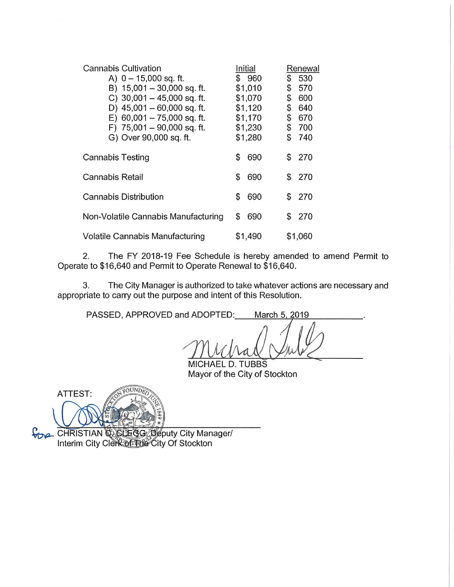| <b>Cannabis Cultivation</b>         | Initial   | Renewal    |
|-------------------------------------|-----------|------------|
| A) $0 - 15,000$ sq. ft.             | \$960     | \$<br>530  |
| B) 15,001 - 30,000 sq. ft.          | \$1,010   | \$<br>570  |
| C) $30,001 - 45,000$ sq. ft.        | \$1,070   | \$<br>600  |
| D) $45,001 - 60,000$ sq. ft.        | \$1,120   | \$<br>640  |
| $E)$ 60,001 - 75,000 sq. ft.        | \$1,170   | \$<br>670  |
| F) $75,001 - 90,000$ sq. ft.        | \$1,230   | \$<br>700  |
| G) Over 90,000 sq. ft.              | \$1,280   | \$<br>740  |
| Cannabis Testing                    | \$<br>690 | 270<br>\$  |
| Cannabis Retail                     | \$<br>690 | -270<br>S  |
| <b>Cannabis Distribution</b>        | \$<br>690 | \$<br>-270 |
| Non-Volatile Cannabis Manufacturing | 690<br>\$ | 270<br>\$  |
| Volatile Cannabis Manufacturing     | \$1,490   | \$1,060    |

 $2.$ The FY 2018-19 Fee Schedule is hereby amended to amend Permit to Operate to \$16,640 and Permit to Operate Renewal to \$16,640.

The City Manager is authorized to take whatever actions are necessary and 3. appropriate to carry out the purpose and intent of this Resolution.

PASSED, APPROVED and ADOPTED: March 5, 2019

MICHAEL D. TUBBS Mayor of the City of Stockton

OUND ATTEST:

CHRISTIAN COLEGG Seputy City Manager/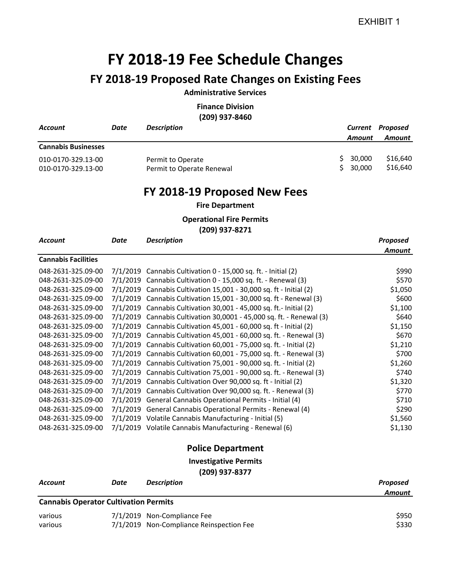## **FY 2018‐19 Fee Schedule Changes**

## **FY 2018‐19 Proposed Rate Changes on Existing Fees**

### **Administrative Services**

**Finance Division (209) 937‐8460**

| <b>Account</b>                                    | Date        | <b>Description</b>                                                   |          | Amount           | <b>Current Proposed</b><br><b>Amount</b> |
|---------------------------------------------------|-------------|----------------------------------------------------------------------|----------|------------------|------------------------------------------|
| <b>Cannabis Businesses</b>                        |             |                                                                      |          |                  |                                          |
| 010-0170-329.13-00<br>010-0170-329.13-00          |             | Permit to Operate<br>Permit to Operate Renewal                       | \$<br>Ś. | 30,000<br>30,000 | \$16,640<br>\$16,640                     |
|                                                   |             | FY 2018-19 Proposed New Fees                                         |          |                  |                                          |
|                                                   |             | <b>Fire Department</b>                                               |          |                  |                                          |
| <b>Operational Fire Permits</b><br>(209) 937-8271 |             |                                                                      |          |                  |                                          |
| <b>Account</b>                                    | <b>Date</b> | <b>Description</b>                                                   |          |                  | Proposed<br><b>Amount</b>                |
| <b>Cannabis Facilities</b>                        |             |                                                                      |          |                  |                                          |
| 048-2631-325.09-00                                |             | 7/1/2019 Cannabis Cultivation 0 - 15,000 sq. ft. - Initial (2)       |          |                  | \$990                                    |
| 048-2631-325.09-00                                |             | 7/1/2019 Cannabis Cultivation 0 - 15,000 sq. ft. - Renewal (3)       |          |                  | \$570                                    |
| 048-2631-325.09-00                                |             | 7/1/2019 Cannabis Cultivation 15,001 - 30,000 sq. ft - Initial (2)   |          |                  | \$1,050                                  |
| 048-2631-325.09-00                                |             | 7/1/2019 Cannabis Cultivation 15,001 - 30,000 sq. ft - Renewal (3)   |          |                  | \$600                                    |
| 048-2631-325.09-00                                |             | 7/1/2019 Cannabis Cultivation 30,001 - 45,000 sq. ft.- Initial (2)   |          |                  | \$1,100                                  |
| 048-2631-325.09-00                                |             | 7/1/2019 Cannabis Cultivation 30,0001 - 45,000 sq. ft. - Renewal (3) |          |                  | \$640                                    |
| 048-2631-325.09-00                                |             | 7/1/2019 Cannabis Cultivation 45,001 - 60,000 sq. ft - Initial (2)   |          |                  | \$1,150                                  |
| 048-2631-325.09-00                                |             | 7/1/2019 Cannabis Cultivation 45,001 - 60,000 sq. ft. - Renewal (3)  |          |                  | \$670                                    |
| 048-2631-325.09-00                                |             | 7/1/2019 Cannabis Cultivation 60,001 - 75,000 sq. ft. - Initial (2)  |          |                  | \$1,210                                  |
| 048-2631-325.09-00                                |             | 7/1/2019 Cannabis Cultivation 60,001 - 75,000 sq. ft. - Renewal (3)  |          |                  | \$700                                    |
| 048-2631-325.09-00                                |             | 7/1/2019 Cannabis Cultivation 75,001 - 90,000 sq. ft. - Initial (2)  |          |                  | \$1,260                                  |
| 048-2631-325.09-00                                |             | 7/1/2019 Cannabis Cultivation 75,001 - 90,000 sq. ft. - Renewal (3)  |          |                  | \$740                                    |
| 048-2631-325.09-00                                |             | 7/1/2019 Cannabis Cultivation Over 90,000 sq. ft - Initial (2)       |          |                  | \$1,320                                  |
| 048-2631-325.09-00                                |             | 7/1/2019 Cannabis Cultivation Over 90,000 sq. ft. - Renewal (3)      |          |                  | \$770                                    |
| 048-2631-325.09-00                                |             | 7/1/2019 General Cannabis Operational Permits - Initial (4)          |          |                  | \$710                                    |
| 048-2631-325.09-00                                |             | 7/1/2019 General Cannabis Operational Permits - Renewal (4)          |          |                  | \$290                                    |
| 048-2631-325.09-00                                |             | 7/1/2019 Volatile Cannabis Manufacturing - Initial (5)               |          |                  | \$1,560                                  |
| 048-2631-325.09-00                                |             | 7/1/2019 Volatile Cannabis Manufacturing - Renewal (6)               |          |                  | \$1,130                                  |

## **Police Department**

**Investigative Permits**

**(209) 937‐8377**

| <b>Account</b>                               | Date | <b>Description</b>                       | Proposed |  |  |
|----------------------------------------------|------|------------------------------------------|----------|--|--|
|                                              |      |                                          | Amount   |  |  |
| <b>Cannabis Operator Cultivation Permits</b> |      |                                          |          |  |  |
| various                                      |      | 7/1/2019 Non-Compliance Fee              | \$950    |  |  |
| various                                      |      | 7/1/2019 Non-Compliance Reinspection Fee | \$330    |  |  |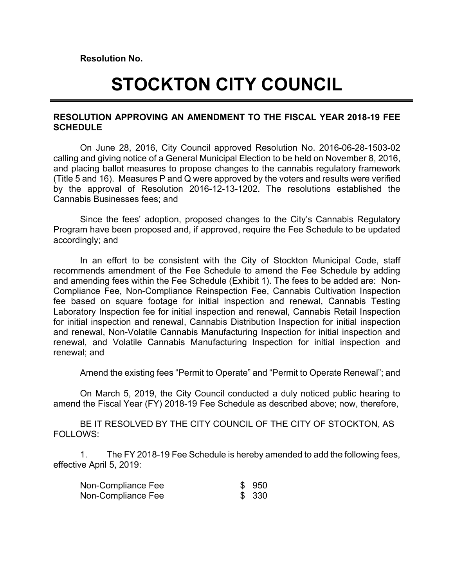**Resolution No.**

# **STOCKTON CITY COUNCIL**

## **RESOLUTION APPROVING AN AMENDMENT TO THE FISCAL YEAR 2018-19 FEE SCHEDULE**

On June 28, 2016, City Council approved Resolution No. 2016-06-28-1503-02 calling and giving notice of a General Municipal Election to be held on November 8, 2016, and placing ballot measures to propose changes to the cannabis regulatory framework (Title 5 and 16). Measures P and Q were approved by the voters and results were verified by the approval of Resolution 2016-12-13-1202. The resolutions established the Cannabis Businesses fees; and

Since the fees' adoption, proposed changes to the City's Cannabis Regulatory Program have been proposed and, if approved, require the Fee Schedule to be updated accordingly; and

In an effort to be consistent with the City of Stockton Municipal Code, staff recommends amendment of the Fee Schedule to amend the Fee Schedule by adding and amending fees within the Fee Schedule (Exhibit 1). The fees to be added are: Non-Compliance Fee, Non-Compliance Reinspection Fee, Cannabis Cultivation Inspection fee based on square footage for initial inspection and renewal, Cannabis Testing Laboratory Inspection fee for initial inspection and renewal, Cannabis Retail Inspection for initial inspection and renewal, Cannabis Distribution Inspection for initial inspection and renewal, Non-Volatile Cannabis Manufacturing Inspection for initial inspection and renewal, and Volatile Cannabis Manufacturing Inspection for initial inspection and renewal; and

Amend the existing fees "Permit to Operate" and "Permit to Operate Renewal"; and

On March 5, 2019, the City Council conducted a duly noticed public hearing to amend the Fiscal Year (FY) 2018-19 Fee Schedule as described above; now, therefore,

BE IT RESOLVED BY THE CITY COUNCIL OF THE CITY OF STOCKTON, AS FOLLOWS:

1. The FY 2018-19 Fee Schedule is hereby amended to add the following fees, effective April 5, 2019:

| Non-Compliance Fee | \$950 |
|--------------------|-------|
| Non-Compliance Fee | \$330 |